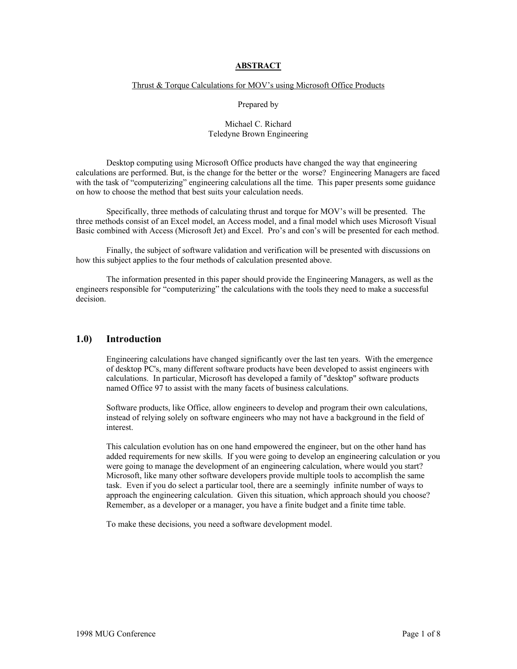### **ABSTRACT**

#### Thrust & Torque Calculations for MOV's using Microsoft Office Products

### Prepared by

### Michael C. Richard Teledyne Brown Engineering

Desktop computing using Microsoft Office products have changed the way that engineering calculations are performed. But, is the change for the better or the worse? Engineering Managers are faced with the task of "computerizing" engineering calculations all the time. This paper presents some guidance on how to choose the method that best suits your calculation needs.

Specifically, three methods of calculating thrust and torque for MOV's will be presented. The three methods consist of an Excel model, an Access model, and a final model which uses Microsoft Visual Basic combined with Access (Microsoft Jet) and Excel. Pro's and con's will be presented for each method.

Finally, the subject of software validation and verification will be presented with discussions on how this subject applies to the four methods of calculation presented above.

The information presented in this paper should provide the Engineering Managers, as well as the engineers responsible for "computerizing" the calculations with the tools they need to make a successful decision.

## **1.0) Introduction**

Engineering calculations have changed significantly over the last ten years. With the emergence of desktop PC's, many different software products have been developed to assist engineers with calculations. In particular, Microsoft has developed a family of "desktop" software products named Office 97 to assist with the many facets of business calculations.

Software products, like Office, allow engineers to develop and program their own calculations, instead of relying solely on software engineers who may not have a background in the field of interest.

This calculation evolution has on one hand empowered the engineer, but on the other hand has added requirements for new skills. If you were going to develop an engineering calculation or you were going to manage the development of an engineering calculation, where would you start? Microsoft, like many other software developers provide multiple tools to accomplish the same task. Even if you do select a particular tool, there are a seemingly infinite number of ways to approach the engineering calculation. Given this situation, which approach should you choose? Remember, as a developer or a manager, you have a finite budget and a finite time table.

To make these decisions, you need a software development model.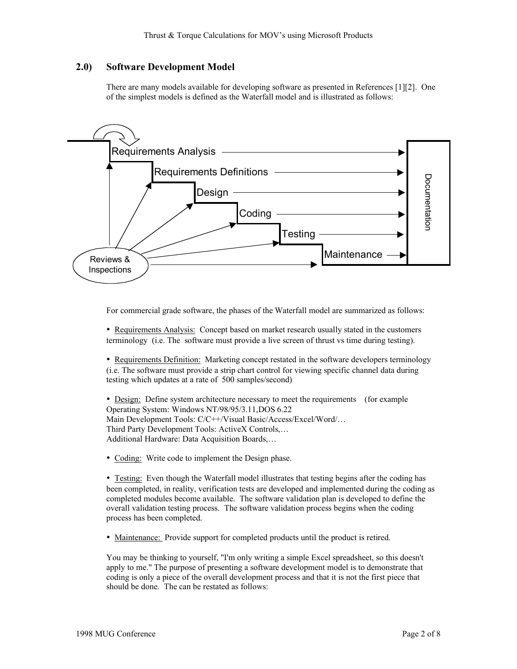# **2.0) Software Development Model**

There are many models available for developing software as presented in References [1][2]. One of the simplest models is defined as the Waterfall model and is illustrated as follows:



For commercial grade software, the phases of the Waterfall model are summarized as follows:

• Requirements Analysis: Concept based on market research usually stated in the customers terminology (i.e. The software must provide a live screen of thrust vs time during testing).

• Requirements Definition: Marketing concept restated in the software developers terminology (i.e. The software must provide a strip chart control for viewing specific channel data during testing which updates at a rate of 500 samples/second)

• Design: Define system architecture necessary to meet the requirements (for example Operating System: Windows NT/98/95/3.11,DOS 6.22 Main Development Tools: C/C++/Visual Basic/Access/Excel/Word/… Third Party Development Tools: ActiveX Controls,… Additional Hardware: Data Acquisition Boards,…

• Coding: Write code to implement the Design phase.

• Testing: Even though the Waterfall model illustrates that testing begins after the coding has been completed, in reality, verification tests are developed and implemented during the coding as completed modules become available. The software validation plan is developed to define the overall validation testing process. The software validation process begins when the coding process has been completed.

• Maintenance: Provide support for completed products until the product is retired.

You may be thinking to yourself, "I'm only writing a simple Excel spreadsheet, so this doesn't apply to me." The purpose of presenting a software development model is to demonstrate that coding is only a piece of the overall development process and that it is not the first piece that should be done. The can be restated as follows: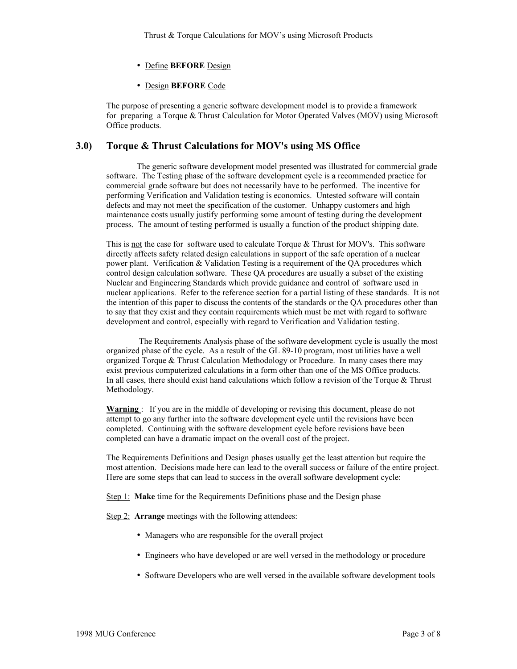- Define **BEFORE** Design
- Design **BEFORE** Code

The purpose of presenting a generic software development model is to provide a framework for preparing a Torque & Thrust Calculation for Motor Operated Valves (MOV) using Microsoft Office products.

# **3.0) Torque & Thrust Calculations for MOV's using MS Office**

The generic software development model presented was illustrated for commercial grade software. The Testing phase of the software development cycle is a recommended practice for commercial grade software but does not necessarily have to be performed. The incentive for performing Verification and Validation testing is economics. Untested software will contain defects and may not meet the specification of the customer. Unhappy customers and high maintenance costs usually justify performing some amount of testing during the development process. The amount of testing performed is usually a function of the product shipping date.

This is not the case for software used to calculate Torque  $&$  Thrust for MOV's. This software directly affects safety related design calculations in support of the safe operation of a nuclear power plant. Verification & Validation Testing is a requirement of the QA procedures which control design calculation software. These QA procedures are usually a subset of the existing Nuclear and Engineering Standards which provide guidance and control of software used in nuclear applications. Refer to the reference section for a partial listing of these standards. It is not the intention of this paper to discuss the contents of the standards or the QA procedures other than to say that they exist and they contain requirements which must be met with regard to software development and control, especially with regard to Verification and Validation testing.

The Requirements Analysis phase of the software development cycle is usually the most organized phase of the cycle. As a result of the GL 89-10 program, most utilities have a well organized Torque & Thrust Calculation Methodology or Procedure. In many cases there may exist previous computerized calculations in a form other than one of the MS Office products. In all cases, there should exist hand calculations which follow a revision of the Torque & Thrust Methodology.

**Warning** : If you are in the middle of developing or revising this document, please do not attempt to go any further into the software development cycle until the revisions have been completed. Continuing with the software development cycle before revisions have been completed can have a dramatic impact on the overall cost of the project.

The Requirements Definitions and Design phases usually get the least attention but require the most attention. Decisions made here can lead to the overall success or failure of the entire project. Here are some steps that can lead to success in the overall software development cycle:

Step 1: **Make** time for the Requirements Definitions phase and the Design phase

Step 2: **Arrange** meetings with the following attendees:

- Managers who are responsible for the overall project
- Engineers who have developed or are well versed in the methodology or procedure
- Software Developers who are well versed in the available software development tools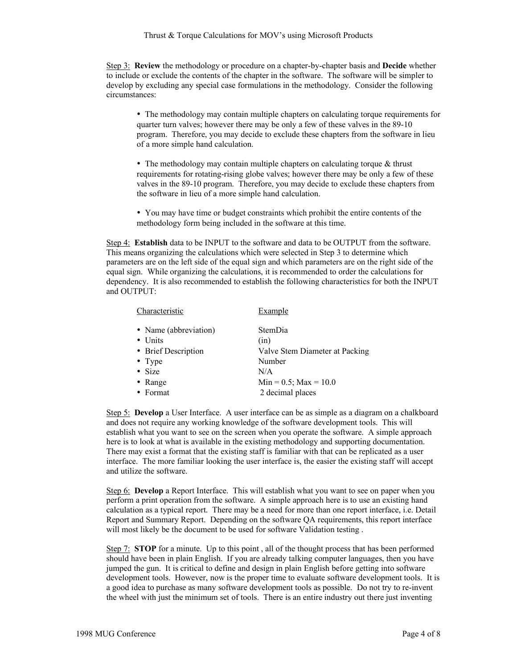Step 3: **Review** the methodology or procedure on a chapter-by-chapter basis and **Decide** whether to include or exclude the contents of the chapter in the software. The software will be simpler to develop by excluding any special case formulations in the methodology. Consider the following circumstances:

• The methodology may contain multiple chapters on calculating torque requirements for quarter turn valves; however there may be only a few of these valves in the 89-10 program. Therefore, you may decide to exclude these chapters from the software in lieu of a more simple hand calculation.

• The methodology may contain multiple chapters on calculating torque & thrust requirements for rotating-rising globe valves; however there may be only a few of these valves in the 89-10 program. Therefore, you may decide to exclude these chapters from the software in lieu of a more simple hand calculation.

• You may have time or budget constraints which prohibit the entire contents of the methodology form being included in the software at this time.

Step 4: **Establish** data to be INPUT to the software and data to be OUTPUT from the software. This means organizing the calculations which were selected in Step 3 to determine which parameters are on the left side of the equal sign and which parameters are on the right side of the equal sign. While organizing the calculations, it is recommended to order the calculations for dependency. It is also recommended to establish the following characteristics for both the INPUT and OUTPUT:

| Characteristic        | Example                        |
|-----------------------|--------------------------------|
| • Name (abbreviation) | <b>StemDia</b>                 |
| • Units               | (in)                           |
| • Brief Description   | Valve Stem Diameter at Packing |
| • Type                | Number                         |
| • Size                | N/A                            |
| • Range               | $Min = 0.5$ ; $Max = 10.0$     |
| $\bullet$ Format      | 2 decimal places               |
|                       |                                |

Step 5: **Develop** a User Interface. A user interface can be as simple as a diagram on a chalkboard and does not require any working knowledge of the software development tools. This will establish what you want to see on the screen when you operate the software. A simple approach here is to look at what is available in the existing methodology and supporting documentation. There may exist a format that the existing staff is familiar with that can be replicated as a user interface. The more familiar looking the user interface is, the easier the existing staff will accept and utilize the software.

Step 6: **Develop** a Report Interface. This will establish what you want to see on paper when you perform a print operation from the software. A simple approach here is to use an existing hand calculation as a typical report. There may be a need for more than one report interface, i.e. Detail Report and Summary Report. Depending on the software QA requirements, this report interface will most likely be the document to be used for software Validation testing .

Step 7: **STOP** for a minute. Up to this point , all of the thought process that has been performed should have been in plain English. If you are already talking computer languages, then you have jumped the gun. It is critical to define and design in plain English before getting into software development tools. However, now is the proper time to evaluate software development tools. It is a good idea to purchase as many software development tools as possible. Do not try to re-invent the wheel with just the minimum set of tools. There is an entire industry out there just inventing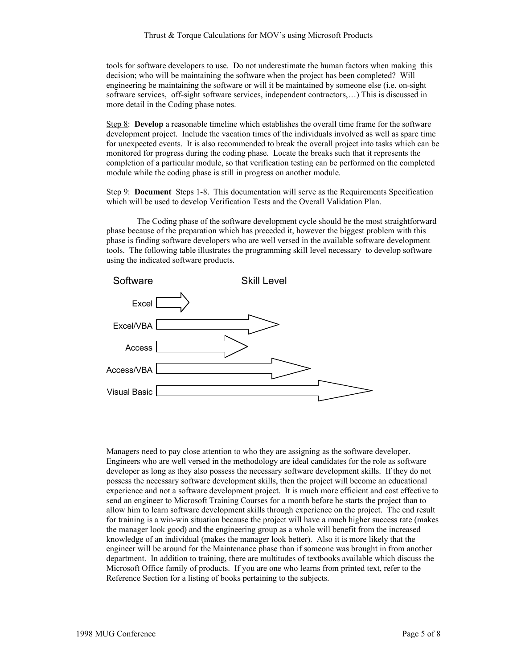tools for software developers to use. Do not underestimate the human factors when making this decision; who will be maintaining the software when the project has been completed? Will engineering be maintaining the software or will it be maintained by someone else (i.e. on-sight software services, off-sight software services, independent contractors,…) This is discussed in more detail in the Coding phase notes.

Step 8: **Develop** a reasonable timeline which establishes the overall time frame for the software development project. Include the vacation times of the individuals involved as well as spare time for unexpected events. It is also recommended to break the overall project into tasks which can be monitored for progress during the coding phase. Locate the breaks such that it represents the completion of a particular module, so that verification testing can be performed on the completed module while the coding phase is still in progress on another module.

Step 9: **Document** Steps 1-8. This documentation will serve as the Requirements Specification which will be used to develop Verification Tests and the Overall Validation Plan.

The Coding phase of the software development cycle should be the most straightforward phase because of the preparation which has preceded it, however the biggest problem with this phase is finding software developers who are well versed in the available software development tools. The following table illustrates the programming skill level necessary to develop software using the indicated software products.



Managers need to pay close attention to who they are assigning as the software developer. Engineers who are well versed in the methodology are ideal candidates for the role as software developer as long as they also possess the necessary software development skills. If they do not possess the necessary software development skills, then the project will become an educational experience and not a software development project. It is much more efficient and cost effective to send an engineer to Microsoft Training Courses for a month before he starts the project than to allow him to learn software development skills through experience on the project. The end result for training is a win-win situation because the project will have a much higher success rate (makes the manager look good) and the engineering group as a whole will benefit from the increased knowledge of an individual (makes the manager look better). Also it is more likely that the engineer will be around for the Maintenance phase than if someone was brought in from another department. In addition to training, there are multitudes of textbooks available which discuss the Microsoft Office family of products. If you are one who learns from printed text, refer to the Reference Section for a listing of books pertaining to the subjects.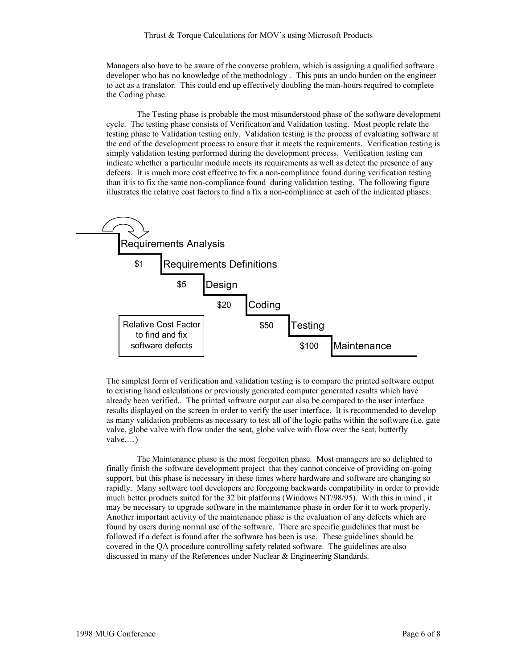Managers also have to be aware of the converse problem, which is assigning a qualified software developer who has no knowledge of the methodology . This puts an undo burden on the engineer to act as a translator. This could end up effectively doubling the man-hours required to complete the Coding phase.

The Testing phase is probable the most misunderstood phase of the software development cycle. The testing phase consists of Verification and Validation testing. Most people relate the testing phase to Validation testing only. Validation testing is the process of evaluating software at the end of the development process to ensure that it meets the requirements. Verification testing is simply validation testing performed during the development process. Verification testing can indicate whether a particular module meets its requirements as well as detect the presence of any defects. It is much more cost effective to fix a non-compliance found during verification testing than it is to fix the same non-compliance found during validation testing. The following figure illustrates the relative cost factors to find a fix a non-compliance at each of the indicated phases:



The simplest form of verification and validation testing is to compare the printed software output to existing hand calculations or previously generated computer generated results which have already been verified.. The printed software output can also be compared to the user interface results displayed on the screen in order to verify the user interface. It is recommended to develop as many validation problems as necessary to test all of the logic paths within the software (i.e. gate valve, globe valve with flow under the seat, globe valve with flow over the seat, butterfly valve,…)

The Maintenance phase is the most forgotten phase. Most managers are so delighted to finally finish the software development project that they cannot conceive of providing on-going support, but this phase is necessary in these times where hardware and software are changing so rapidly. Many software tool developers are foregoing backwards compatibility in order to provide much better products suited for the 32 bit platforms (Windows NT/98/95). With this in mind , it may be necessary to upgrade software in the maintenance phase in order for it to work properly. Another important activity of the maintenance phase is the evaluation of any defects which are found by users during normal use of the software. There are specific guidelines that must be followed if a defect is found after the software has been is use. These guidelines should be covered in the QA procedure controlling safety related software. The guidelines are also discussed in many of the References under Nuclear & Engineering Standards.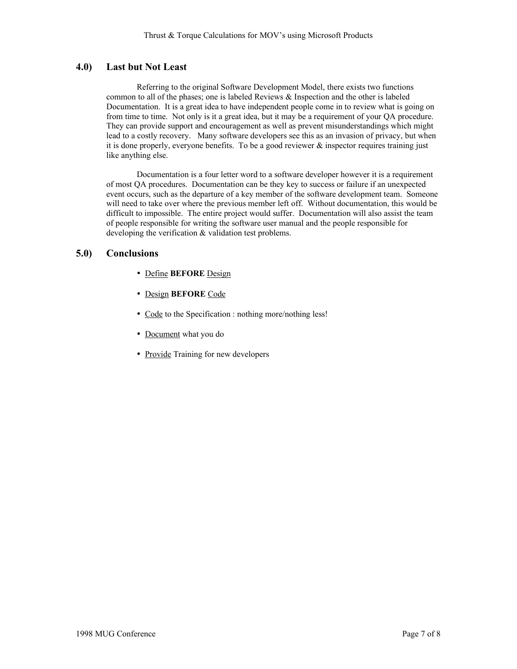# **4.0) Last but Not Least**

Referring to the original Software Development Model, there exists two functions common to all of the phases; one is labeled Reviews & Inspection and the other is labeled Documentation. It is a great idea to have independent people come in to review what is going on from time to time. Not only is it a great idea, but it may be a requirement of your QA procedure. They can provide support and encouragement as well as prevent misunderstandings which might lead to a costly recovery. Many software developers see this as an invasion of privacy, but when it is done properly, everyone benefits. To be a good reviewer  $\&$  inspector requires training just like anything else.

Documentation is a four letter word to a software developer however it is a requirement of most QA procedures. Documentation can be they key to success or failure if an unexpected event occurs, such as the departure of a key member of the software development team. Someone will need to take over where the previous member left off. Without documentation, this would be difficult to impossible. The entire project would suffer. Documentation will also assist the team of people responsible for writing the software user manual and the people responsible for developing the verification & validation test problems.

# **5.0) Conclusions**

- Define **BEFORE** Design
- Design **BEFORE** Code
- Code to the Specification : nothing more/nothing less!
- Document what you do
- Provide Training for new developers